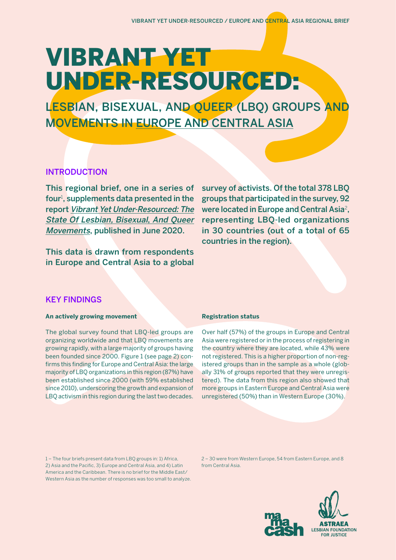# VIBRANT YET UNDER-RESOURCED:

LESBIAN, BISEXUAL, AND QUEER (LBQ) GROUPS AND MOVEMENTS IN EUROPE AND CENTRAL ASIA

# INTRODUCTION

This regional brief, one in a series of four<sup>1</sup>, supplements data presented in the report [Vibrant Yet Under-Resourced: The](https://fundlbq.org/)  [State Of Lesbian, Bisexual](https://fundlbq.org/), And Queer [Movements](https://fundlbq.org/), published in June 2020.

This data is drawn from respondents in Europe and Central Asia to a global survey of activists. Of the total 378 LBQ groups that participated in the survey, 92 were located in Europe and Central Asia<sup>2</sup>. representing LBQ-led organizations in 30 countries (out of a total of 65 countries in the region).

# KEY FINDINGS

# **An actively growing movement**

The global survey found that LBQ-led groups are organizing worldwide and that LBQ movements are growing rapidly, with a large majority of groups having been founded since 2000. Figure 1 (see page 2) confirms this finding for Europe and Central Asia: the large majority of LBQ organizations in this region (87%) have been established since 2000 (with 59% established since 2010), underscoring the growth and expansion of LBQ activism in this region during the last two decades.

## **Registration status**

Over half (57%) of the groups in Europe and Central Asia were registered or in the process of registering in the country where they are located, while 43% were not registered. This is a higher proportion of non-registered groups than in the sample as a whole (globally 31% of groups reported that they were unregistered). The data from this region also showed that more groups in Eastern Europe and Central Asia were unregistered (50%) than in Western Europe (30%).

1 – The four briefs present data from LBQ groups in: 1) Africa, 2) Asia and the Pacific, 3) Europe and Central Asia, and 4) Latin America and the Caribbean. There is no brief for the Middle East/ Western Asia as the number of responses was too small to analyze. 2 – 30 were from Western Europe, 54 from Eastern Europe, and 8 from Central Asia.

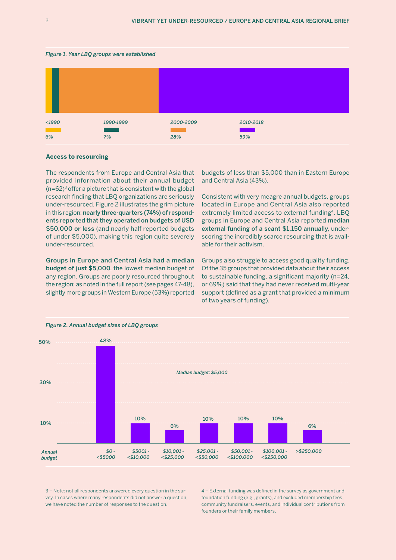#### *Figure 1. Year LBQ groups were established*



#### **Access to resourcing**

The respondents from Europe and Central Asia that provided information about their annual budget  $(n=62)^3$  offer a picture that is consistent with the global research finding that LBQ organizations are seriously under-resourced. Figure 2 illustrates the grim picture in this region: nearly three-quarters (74%) of respondents reported that they operated on budgets of USD \$50,000 or less (and nearly half reported budgets of under \$5,000), making this region quite severely under-resourced.

Groups in Europe and Central Asia had a median budget of just \$5,000, the lowest median budget of any region. Groups are poorly resourced throughout the region; as noted in the full report (see pages 47-48), slightly more groups in Western Europe (53%) reported

budgets of less than \$5,000 than in Eastern Europe and Central Asia (43%).

Consistent with very meagre annual budgets, groups located in Europe and Central Asia also reported extremely limited access to external funding<sup>4</sup>. LBQ groups in Europe and Central Asia reported median external funding of a scant \$1,150 annually, underscoring the incredibly scarce resourcing that is available for their activism.

Groups also struggle to access good quality funding. Of the 35 groups that provided data about their access to sustainable funding, a significant majority (n=24, or 69%) said that they had never received multi-year support (defined as a grant that provided a minimum of two years of funding).



*Figure 2. Annual budget sizes of LBQ groups*

3 – Note: not all respondents answered every question in the survey. In cases where many respondents did not answer a question, we have noted the number of responses to the question.

4 – External funding was defined in the survey as government and foundation funding (e.g., grants), and excluded membership fees, community fundraisers, events, and individual contributions from founders or their family members.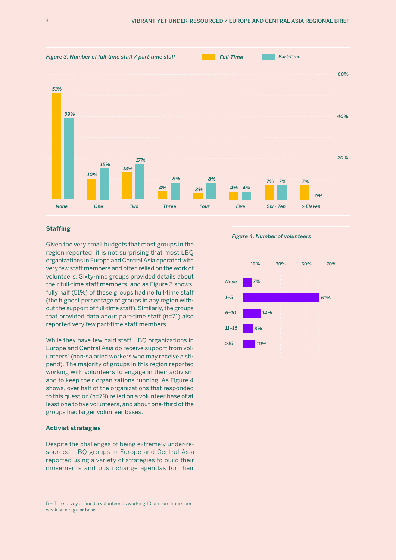

## **Staffing**

Given the very small budgets that most groups in the region reported, it is not surprising that most LBQ organizations in Europe and Central Asia operated with very few staff members and often relied on the work of volunteers. Sixty-nine groups provided details about their full-time staff members, and as Figure 3 shows, fully half (51%) of these groups had no full-time staff (the highest percentage of groups in any region without the support of full-time staff). Similarly, the groups that provided data about part-time staff (n=71) also reported very few part-time staff members.

While they have few paid staff, LBQ organizations in Europe and Central Asia do receive support from volunteers<sup>5</sup> (non-salaried workers who may receive a stipend). The majority of groups in this region reported working with volunteers to engage in their activism and to keep their organizations running. As Figure 4 shows, over half of the organizations that responded to this question (n=79) relied on a volunteer base of at least one to five volunteers, and about one-third of the groups had larger volunteer bases.

#### **Activist strategies**

Despite the challenges of being extremely under-resourced, LBQ groups in Europe and Central Asia reported using a variety of strategies to build their movements and push change agendas for their

#### 5 – The survey defined a volunteer as working 10 or more hours per week on a regular basis.

*Figure 4. Number of volunteers*

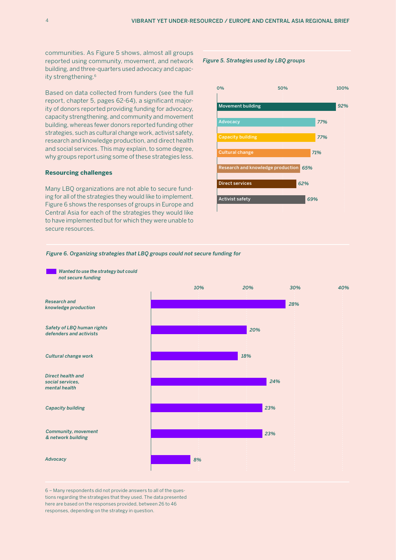communities. As Figure 5 shows, almost all groups reported using community, movement, and network building, and three-quarters used advocacy and capacity strengthening.<sup>6</sup>

Based on data collected from funders (see the full report, chapter 5, pages 62-64), a significant majority of donors reported providing funding for advocacy, capacity strengthening, and community and movement building, whereas fewer donors reported funding other strategies, such as cultural change work, activist safety, research and knowledge production, and direct health and social services. This may explain, to some degree, why groups report using some of these strategies less.

#### **Resourcing challenges**

Many LBQ organizations are not able to secure funding for all of the strategies they would like to implement. Figure 6 shows the responses of groups in Europe and Central Asia for each of the strategies they would like to have implemented but for which they were unable to secure resources.

### *Figure 5. Strategies used by LBQ groups*



#### *Figure 6. Organizing strategies that LBQ groups could not secure funding for*



6 – Many respondents did not provide answers to all of the questions regarding the strategies that they used. The data presented here are based on the responses provided, between 26 to 46 responses, depending on the strategy in question.